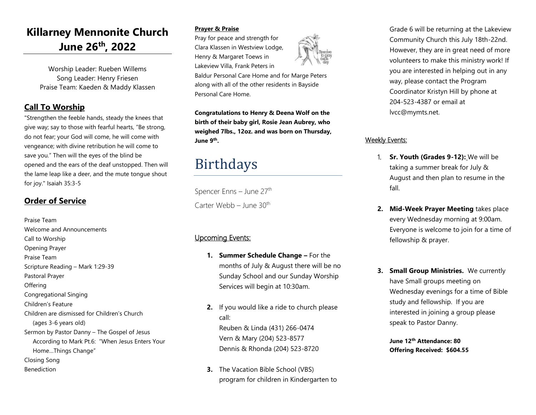### **Killarney Mennonite Church June 26th, 2022**

Worship Leader: Rueben Willems Song Leader: Henry Friesen Praise Team: Kaeden & Maddy Klassen

#### **Call To Worship**

"Strengthen the feeble hands, steady the knees that give way; say to those with fearful hearts, "Be strong, do not fear; your God will come, he will come with vengeance; with divine retribution he will come to save you." Then will the eyes of the blind be opened and the ears of the deaf unstopped. Then will the lame leap like a deer, and the mute tongue shout for joy." Isaiah 35:3-5

#### **Order of Service**

Praise Team Welcome and Announcements Call to Worship Opening Prayer Praise Team Scripture Reading – Mark 1:29-39 Pastoral Prayer **Offering** Congregational Singing Children's Feature Children are dismissed for Children's Church (ages 3-6 years old) Sermon by Pastor Danny – The Gospel of Jesus According to Mark Pt.6: "When Jesus Enters Your Home…Things Change" Closing Song Benediction

#### **Prayer & Praise**

Pray for peace and strength for Clara Klassen in Westview Lodge, Henry & Margaret Toews in Lakeview Villa, Frank Peters in

Baldur Personal Care Home and for Marge Peters along with all of the other residents in Bayside Personal Care Home.

**Congratulations to Henry & Deena Wolf on the birth of their baby girl, Rosie Jean Aubrey, who weighed 7lbs., 12oz. and was born on Thursday, June 9th .**

## Birthdays

Spencer Enns - June 27<sup>th</sup> Carter Webb – June  $30<sup>th</sup>$ 

#### Upcoming Events:

- **1. Summer Schedule Change –** For the months of July & August there will be no Sunday School and our Sunday Worship Services will begin at 10:30am.
- **2.** If you would like a ride to church please call: Reuben & Linda (431) 266-0474 Vern & Mary (204) 523-8577 Dennis & Rhonda (204) 523-8720
- **3.** The Vacation Bible School (VBS) program for children in Kindergarten to

Grade 6 will be returning at the Lakeview Community Church this July 18th-22nd. However, they are in great need of more volunteers to make this ministry work! If you are interested in helping out in any way, please contact the Program Coordinator Kristyn Hill by phone at 204-523-4387 or email at lvcc@mymts.net.

#### Weekly Events:

- 1. **Sr. Youth (Grades 9-12):** We will be taking a summer break for July & August and then plan to resume in the fall.
- **2. Mid-Week Prayer Meeting** takes place every Wednesday morning at 9:00am. Everyone is welcome to join for a time of fellowship & prayer.
- **3. Small Group Ministries.** We currently have Small groups meeting on Wednesday evenings for a time of Bible study and fellowship. If you are interested in joining a group please speak to Pastor Danny.

**June 12th Attendance: 80 Offering Received: \$604.55**